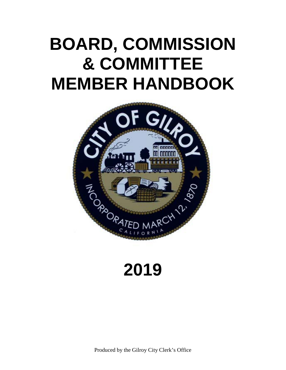# **BOARD, COMMISSION & COMMITTEE MEMBER HANDBOOK**



# **2019**

Produced by the Gilroy City Clerk's Office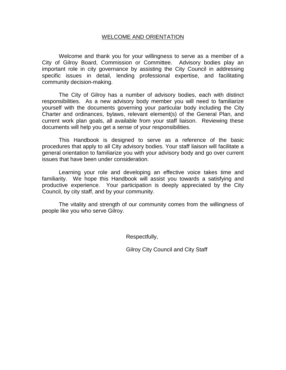#### WELCOME AND ORIENTATION

Welcome and thank you for your willingness to serve as a member of a City of Gilroy Board, Commission or Committee. Advisory bodies play an important role in city governance by assisting the City Council in addressing specific issues in detail, lending professional expertise, and facilitating community decision-making.

The City of Gilroy has a number of advisory bodies, each with distinct responsibilities. As a new advisory body member you will need to familiarize yourself with the documents governing your particular body including the City Charter and ordinances, bylaws, relevant element(s) of the General Plan, and current work plan goals, all available from your staff liaison. Reviewing these documents will help you get a sense of your responsibilities.

This Handbook is designed to serve as a reference of the basic procedures that apply to all City advisory bodies. Your staff liaison will facilitate a general orientation to familiarize you with your advisory body and go over current issues that have been under consideration.

Learning your role and developing an effective voice takes time and familiarity. We hope this Handbook will assist you towards a satisfying and productive experience. Your participation is deeply appreciated by the City Council, by city staff, and by your community.

The vitality and strength of our community comes from the willingness of people like you who serve Gilroy.

Respectfully,

Gilroy City Council and City Staff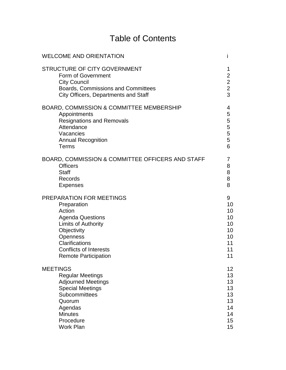### Table of Contents

| <b>WELCOME AND ORIENTATION</b>                                                                                                                                 |                                           |
|----------------------------------------------------------------------------------------------------------------------------------------------------------------|-------------------------------------------|
| STRUCTURE OF CITY GOVERNMENT<br>Form of Government<br><b>City Council</b><br>Boards, Commissions and Committees<br><b>City Officers, Departments and Staff</b> | 1<br>$\overline{c}$<br>$\frac{2}{2}$<br>3 |
| BOARD, COMMISSION & COMMITTEE MEMBERSHIP                                                                                                                       | 4                                         |
| Appointments                                                                                                                                                   | 5                                         |
| <b>Resignations and Removals</b>                                                                                                                               | 5                                         |
| Attendance                                                                                                                                                     | 5                                         |
| Vacancies                                                                                                                                                      | 5                                         |
| <b>Annual Recognition</b>                                                                                                                                      | 5                                         |
| Terms                                                                                                                                                          | 6                                         |
| BOARD, COMMISSION & COMMITTEE OFFICERS AND STAFF                                                                                                               | 7                                         |
| <b>Officers</b>                                                                                                                                                | 8                                         |
| <b>Staff</b>                                                                                                                                                   | 8                                         |
| Records                                                                                                                                                        | 8                                         |
| <b>Expenses</b>                                                                                                                                                | 8                                         |
| PREPARATION FOR MEETINGS                                                                                                                                       | 9                                         |
| Preparation                                                                                                                                                    | 10                                        |
| Action                                                                                                                                                         | 10                                        |
| <b>Agenda Questions</b>                                                                                                                                        | 10                                        |
| <b>Limits of Authority</b>                                                                                                                                     | 10                                        |
| Objectivity                                                                                                                                                    | 10                                        |
| Openness                                                                                                                                                       | 10                                        |
| Clarifications                                                                                                                                                 | 11                                        |
| <b>Conflicts of Interests</b>                                                                                                                                  | 11                                        |
| <b>Remote Participation</b>                                                                                                                                    | 11                                        |
| <b>MEETINGS</b>                                                                                                                                                | 12 <sub>2</sub>                           |
| <b>Regular Meetings</b>                                                                                                                                        | 13                                        |
| <b>Adjourned Meetings</b>                                                                                                                                      | 13                                        |
| <b>Special Meetings</b>                                                                                                                                        | 13                                        |
| Subcommittees                                                                                                                                                  | 13                                        |
| Quorum                                                                                                                                                         | 13                                        |
| Agendas                                                                                                                                                        | 14                                        |
| <b>Minutes</b>                                                                                                                                                 | 14                                        |
| Procedure                                                                                                                                                      | 15 <sub>2</sub>                           |
| <b>Work Plan</b>                                                                                                                                               | 15                                        |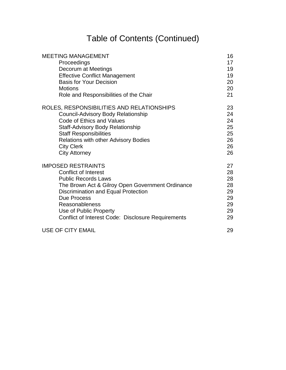### Table of Contents (Continued)

| <b>MEETING MANAGEMENT</b><br>Proceedings<br>Decorum at Meetings<br><b>Effective Conflict Management</b><br><b>Basis for Your Decision</b> | 16<br>17<br>19<br>19<br>20 |
|-------------------------------------------------------------------------------------------------------------------------------------------|----------------------------|
| <b>Motions</b>                                                                                                                            | 20                         |
| Role and Responsibilities of the Chair                                                                                                    | 21                         |
| ROLES, RESPONSIBILITIES AND RELATIONSHIPS                                                                                                 | 23                         |
| <b>Council-Advisory Body Relationship</b>                                                                                                 | 24                         |
| Code of Ethics and Values                                                                                                                 | 24                         |
| <b>Staff-Advisory Body Relationship</b>                                                                                                   | 25                         |
| <b>Staff Responsibilities</b>                                                                                                             | 25                         |
| <b>Relations with other Advisory Bodies</b>                                                                                               | 26<br>26                   |
| <b>City Clerk</b><br><b>City Attorney</b>                                                                                                 | 26                         |
| <b>IMPOSED RESTRAINTS</b>                                                                                                                 | 27                         |
| <b>Conflict of Interest</b>                                                                                                               | 28                         |
| <b>Public Records Laws</b>                                                                                                                | 28                         |
| The Brown Act & Gilroy Open Government Ordinance                                                                                          | 28                         |
| Discrimination and Equal Protection                                                                                                       | 29                         |
| Due Process                                                                                                                               | 29                         |
| <b>Reasonableness</b>                                                                                                                     | 29                         |
| Use of Public Property                                                                                                                    | 29                         |
| Conflict of Interest Code: Disclosure Requirements                                                                                        | 29                         |
| USE OF CITY EMAIL                                                                                                                         | 29                         |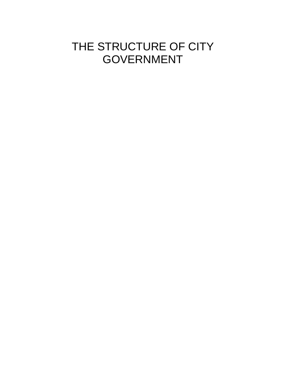### THE STRUCTURE OF CITY GOVERNMENT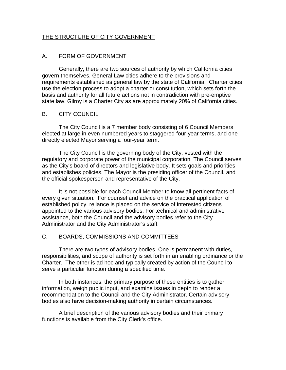#### THE STRUCTURE OF CITY GOVERNMENT

#### A. FORM OF GOVERNMENT

Generally, there are two sources of authority by which California cities govern themselves. General Law cities adhere to the provisions and requirements established as general law by the state of California. Charter cities use the election process to adopt a charter or constitution, which sets forth the basis and authority for all future actions not in contradiction with pre-emptive state law. Gilroy is a Charter City as are approximately 20% of California cities.

#### B. CITY COUNCIL

The City Council is a 7 member body consisting of 6 Council Members elected at large in even numbered years to staggered four-year terms, and one directly elected Mayor serving a four-year term.

The City Council is the governing body of the City, vested with the regulatory and corporate power of the municipal corporation. The Council serves as the City's board of directors and legislative body. It sets goals and priorities and establishes policies. The Mayor is the presiding officer of the Council, and the official spokesperson and representative of the City.

It is not possible for each Council Member to know all pertinent facts of every given situation. For counsel and advice on the practical application of established policy, reliance is placed on the service of interested citizens appointed to the various advisory bodies. For technical and administrative assistance, both the Council and the advisory bodies refer to the City Administrator and the City Administrator's staff.

#### C. BOARDS, COMMISSIONS AND COMMITTEES

There are two types of advisory bodies. One is permanent with duties, responsibilities, and scope of authority is set forth in an enabling ordinance or the Charter. The other is ad hoc and typically created by action of the Council to serve a particular function during a specified time.

In both instances, the primary purpose of these entities is to gather information, weigh public input, and examine issues in depth to render a recommendation to the Council and the City Administrator. Certain advisory bodies also have decision-making authority in certain circumstances.

A brief description of the various advisory bodies and their primary functions is available from the City Clerk's office.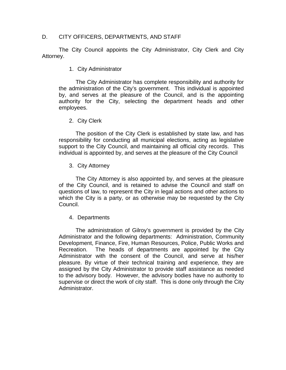#### D. CITY OFFICERS, DEPARTMENTS, AND STAFF

The City Council appoints the City Administrator, City Clerk and City Attorney.

#### 1. City Administrator

The City Administrator has complete responsibility and authority for the administration of the City's government. This individual is appointed by, and serves at the pleasure of the Council, and is the appointing authority for the City, selecting the department heads and other employees.

#### 2. City Clerk

The position of the City Clerk is established by state law, and has responsibility for conducting all municipal elections, acting as legislative support to the City Council, and maintaining all official city records. This individual is appointed by, and serves at the pleasure of the City Council

#### 3. City Attorney

The City Attorney is also appointed by, and serves at the pleasure of the City Council, and is retained to advise the Council and staff on questions of law, to represent the City in legal actions and other actions to which the City is a party, or as otherwise may be requested by the City Council.

#### 4. Departments

The administration of Gilroy's government is provided by the City Administrator and the following departments: Administration, Community Development, Finance, Fire, Human Resources, Police, Public Works and Recreation. The heads of departments are appointed by the City Administrator with the consent of the Council, and serve at his/her pleasure. By virtue of their technical training and experience, they are assigned by the City Administrator to provide staff assistance as needed to the advisory body. However, the advisory bodies have no authority to supervise or direct the work of city staff. This is done only through the City Administrator.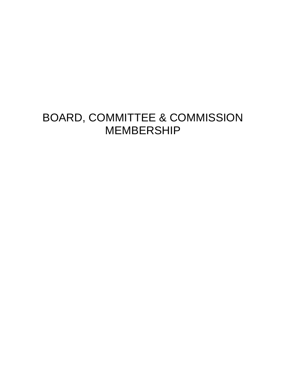### BOARD, COMMITTEE & COMMISSION MEMBERSHIP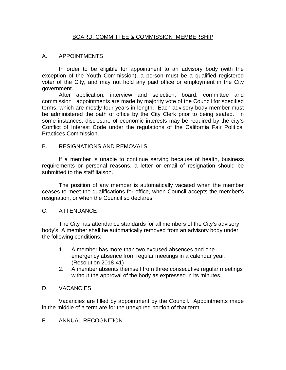#### BOARD, COMMITTEE & COMMISSION MEMBERSHIP

#### A. APPOINTMENTS

In order to be eligible for appointment to an advisory body (with the exception of the Youth Commission), a person must be a qualified registered voter of the City, and may not hold any paid office or employment in the City government.

After application, interview and selection, board, committee and commission appointments are made by majority vote of the Council for specified terms, which are mostly four years in length. Each advisory body member must be administered the oath of office by the City Clerk prior to being seated. In some instances, disclosure of economic interests may be required by the city's Conflict of Interest Code under the regulations of the California Fair Political Practices Commission.

#### B. RESIGNATIONS AND REMOVALS

If a member is unable to continue serving because of health, business requirements or personal reasons, a letter or email of resignation should be submitted to the staff liaison.

The position of any member is automatically vacated when the member ceases to meet the qualifications for office, when Council accepts the member's resignation, or when the Council so declares.

#### C. ATTENDANCE

The City has attendance standards for all members of the City's advisory body's. A member shall be automatically removed from an advisory body under the following conditions:

- 1. A member has more than two excused absences and one emergency absence from regular meetings in a calendar year. (Resolution 2018-41)
- 2. A member absents themself from three consecutive regular meetings without the approval of the body as expressed in its minutes.

#### D. VACANCIES

Vacancies are filled by appointment by the Council. Appointments made in the middle of a term are for the unexpired portion of that term.

E. ANNUAL RECOGNITION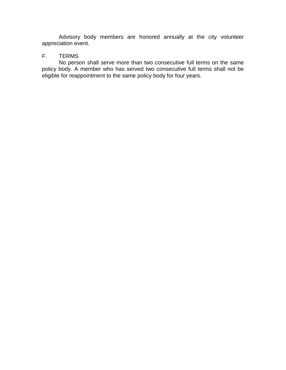Advisory body members are honored annually at the city volunteer appreciation event.

#### F. TERMS

No person shall serve more than two consecutive full terms on the same policy body. A member who has served two consecutive full terms shall not be eligible for reappointment to the same policy body for four years.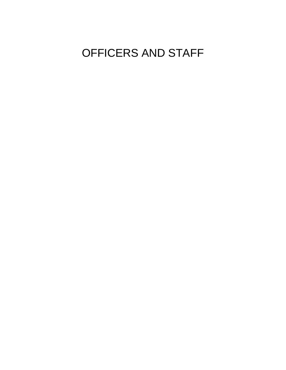## OFFICERS AND STAFF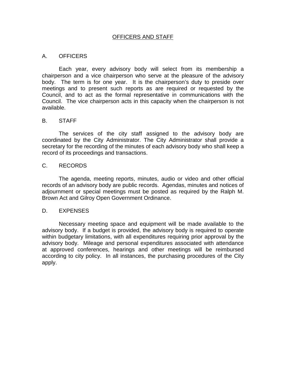#### OFFICERS AND STAFF

#### A. OFFICERS

Each year, every advisory body will select from its membership a chairperson and a vice chairperson who serve at the pleasure of the advisory body. The term is for one year. It is the chairperson's duty to preside over meetings and to present such reports as are required or requested by the Council, and to act as the formal representative in communications with the Council. The vice chairperson acts in this capacity when the chairperson is not available.

#### B. STAFF

The services of the city staff assigned to the advisory body are coordinated by the City Administrator. The City Administrator shall provide a secretary for the recording of the minutes of each advisory body who shall keep a record of its proceedings and transactions.

#### C. RECORDS

The agenda, meeting reports, minutes, audio or video and other official records of an advisory body are public records. Agendas, minutes and notices of adjournment or special meetings must be posted as required by the Ralph M. Brown Act and Gilroy Open Government Ordinance.

#### D. EXPENSES

Necessary meeting space and equipment will be made available to the advisory body. If a budget is provided, the advisory body is required to operate within budgetary limitations, with all expenditures requiring prior approval by the advisory body. Mileage and personal expenditures associated with attendance at approved conferences, hearings and other meetings will be reimbursed according to city policy. In all instances, the purchasing procedures of the City apply.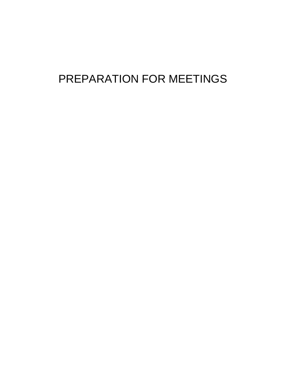### PREPARATION FOR MEETINGS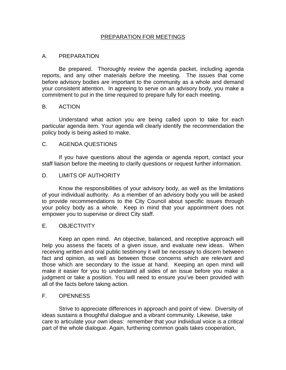#### PREPARATION FOR MEETINGS

#### A. PREPARATION

Be prepared. Thoroughly review the agenda packet, including agenda reports, and any other materials *before* the meeting. The issues that come before advisory bodies are important to the community as a whole and demand your consistent attention. In agreeing to serve on an advisory body, you make a commitment to put in the time required to prepare fully for each meeting.

#### B. ACTION

Understand what action you are being called upon to take for each particular agenda item. Your agenda will clearly identify the recommendation the policy body is being asked to make.

#### C. AGENDA QUESTIONS

If you have questions about the agenda or agenda report, contact your staff liaison before the meeting to clarify questions or request further information.

#### D. LIMITS OF AUTHORITY

Know the responsibilities of your advisory body, as well as the limitations of your individual authority. As a member of an advisory body you will be asked to provide recommendations to the City Council about specific issues through your policy body as a whole. Keep in mind that your appointment does not empower you to supervise or direct City staff.

#### E. OBJECTIVITY

Keep an open mind. An objective, balanced, and receptive approach will help you assess the facets of a given issue, and evaluate new ideas. When receiving written and oral public testimony it will be necessary to discern between fact and opinion, as well as between those concerns which are relevant and those which are secondary to the issue at hand. Keeping an open mind will make it easier for you to understand all sides of an issue before you make a judgment or take a position. You will need to ensure you've been provided with all of the facts before taking action.

#### F. OPENNESS

Strive to appreciate differences in approach and point of view. Diversity of ideas sustains a thoughtful dialogue and a vibrant community. Likewise, take care to articulate your own ideas: remember that your individual voice is a critical part of the whole dialogue. Again, furthering common goals takes cooperation,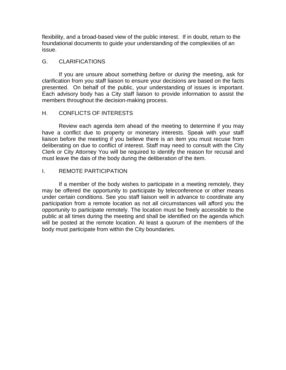flexibility, and a broad-based view of the public interest. If in doubt, return to the foundational documents to guide your understanding of the complexities of an issue.

#### G. CLARIFICATIONS

If you are unsure about something *before* or *during* the meeting, ask for clarification from you staff liaison to ensure your decisions are based on the facts presented. On behalf of the public, your understanding of issues is important. Each advisory body has a City staff liaison to provide information to assist the members throughout the decision-making process.

#### H. CONFLICTS OF INTERESTS

Review each agenda item ahead of the meeting to determine if you may have a conflict due to property or monetary interests. Speak with your staff liaison before the meeting if you believe there is an item you must recuse from deliberating on due to conflict of interest. Staff may need to consult with the City Clerk or City Attorney You will be required to identify the reason for recusal and must leave the dais of the body during the deliberation of the item.

#### I. REMOTE PARTICIPATION

If a member of the body wishes to participate in a meeting remotely, they may be offered the opportunity to participate by teleconference or other means under certain conditions. See you staff liaison well in advance to coordinate any participation from a remote location as not all circumstances will afford you the opportunity to participate remotely. The location must be freely accessible to the public at all times during the meeting and shall be identified on the agenda which will be posted at the remote location. At least a quorum of the members of the body must participate from within the City boundaries.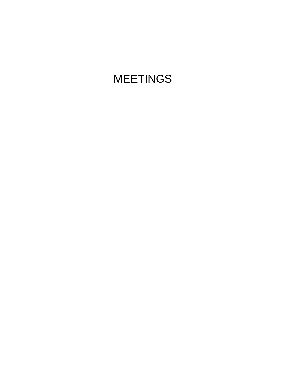## MEETINGS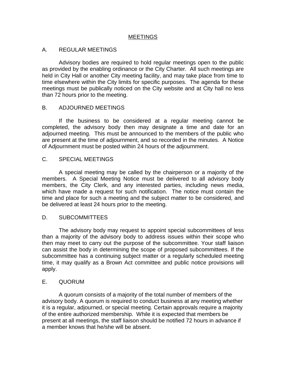#### MEETINGS

#### A. REGULAR MEETINGS

Advisory bodies are required to hold regular meetings open to the public as provided by the enabling ordinance or the City Charter. All such meetings are held in City Hall or another City meeting facility, and may take place from time to time elsewhere within the City limits for specific purposes. The agenda for these meetings must be publically noticed on the City website and at City hall no less than 72 hours prior to the meeting.

#### B. ADJOURNED MEETINGS

If the business to be considered at a regular meeting cannot be completed, the advisory body then may designate a time and date for an adjourned meeting. This must be announced to the members of the public who are present at the time of adjournment, and so recorded in the minutes. A Notice of Adjournment must be posted within 24 hours of the adjournment.

#### C. SPECIAL MEETINGS

A special meeting may be called by the chairperson or a majority of the members. A Special Meeting Notice must be delivered to all advisory body members, the City Clerk, and any interested parties, including news media, which have made a request for such notification. The notice must contain the time and place for such a meeting and the subject matter to be considered, and be delivered at least 24 hours prior to the meeting.

#### D. SUBCOMMITTEES

The advisory body may request to appoint special subcommittees of less than a majority of the advisory body to address issues within their scope who then may meet to carry out the purpose of the subcommittee. Your staff liaison can assist the body in determining the scope of proposed subcommittees. If the subcommittee has a continuing subject matter or a regularly scheduled meeting time, it may qualify as a Brown Act committee and public notice provisions will apply.

#### E. QUORUM

A quorum consists of a majority of the total number of members of the advisory body. A quorum is required to conduct business at any meeting whether it is a regular, adjourned, or special meeting. Certain approvals require a majority of the entire authorized membership. While it is expected that members be present at all meetings, the staff liaison should be notified 72 hours in advance if a member knows that he/she will be absent.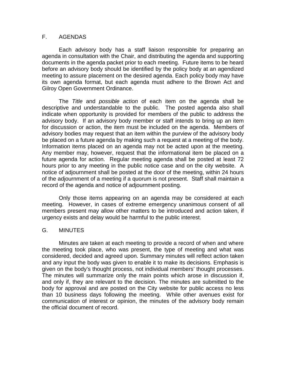#### F. AGENDAS

Each advisory body has a staff liaison responsible for preparing an agenda in consultation with the Chair, and distributing the agenda and supporting documents in the agenda packet prior to each meeting. Future items to be heard before an advisory body should be identified by the policy body at an agendized meeting to assure placement on the desired agenda. Each policy body may have its own agenda format, but each agenda must adhere to the Brown Act and Gilroy Open Government Ordinance.

The *Title* and *possible action* of each item on the agenda shall be descriptive and understandable to the public. The posted agenda also shall indicate when opportunity is provided for members of the public to address the advisory body. If an advisory body member or staff intends to bring up an item for discussion or action, the item must be included on the agenda. Members of advisory bodies may request that an item within the purview of the advisory body be placed on a future agenda by making such a request at a meeting of the body. Information items placed on an agenda may not be acted upon at the meeting. Any member may, however, request that the informational item be placed on a future agenda for action. Regular meeting agenda shall be posted at least 72 hours prior to any meeting in the public notice case and on the city website. A notice of adjournment shall be posted at the door of the meeting, within 24 hours of the adjournment of a meeting if a quorum is not present. Staff shall maintain a record of the agenda and notice of adjournment posting.

Only those items appearing on an agenda may be considered at each meeting. However, in cases of extreme emergency unanimous consent of all members present may allow other matters to be introduced and action taken, if urgency exists and delay would be harmful to the public interest.

#### G. MINUTES

Minutes are taken at each meeting to provide a record of when and where the meeting took place, who was present, the type of meeting and what was considered, decided and agreed upon. Summary minutes will reflect action taken and any input the body was given to enable it to make its decisions. Emphasis is given on the body's thought process, not individual members' thought processes. The minutes will summarize only the main points which arose in discussion if, and only if, they are relevant to the decision. The minutes are submitted to the body for approval and are posted on the City website for public access no less than 10 business days following the meeting. While other avenues exist for communication of interest or opinion, the minutes of the advisory body remain the official document of record.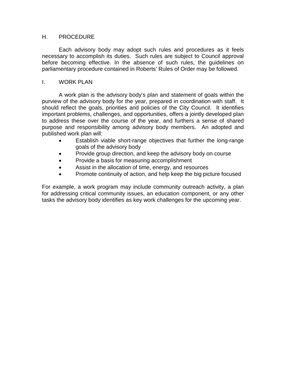#### H. PROCEDURE

Each advisory body may adopt such rules and procedures as it feels necessary to accomplish its duties. Such rules are subject to Council approval before becoming effective. In the absence of such rules, the guidelines on parliamentary procedure contained in Roberts' Rules of Order may be followed.

#### I. WORK PLAN

A work plan is the advisory body's plan and statement of goals within the purview of the advisory body for the year, prepared in coordination with staff. It should reflect the goals, priorities and policies of the City Council. It identifies important problems, challenges, and opportunities, offers a jointly developed plan to address these over the course of the year, and furthers a sense of shared purpose and responsibility among advisory body members. An adopted and published work plan will:

- Establish viable short-range objectives that further the long-range goals of the advisory body
- Provide group direction, and keep the advisory body on course
- Provide a basis for measuring accomplishment
- Assist in the allocation of time, energy, and resources
- Promote continuity of action, and help keep the big picture focused

For example, a work program may include community outreach activity, a plan for addressing critical community issues, an education component, or any other tasks the advisory body identifies as key work challenges for the upcoming year.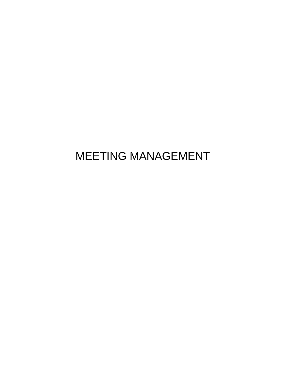### MEETING MANAGEMENT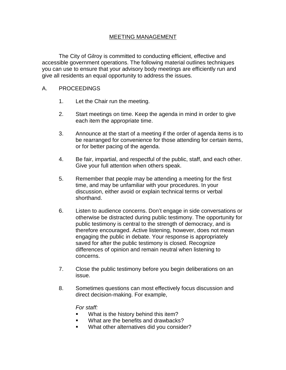#### MEETING MANAGEMENT

The City of Gilroy is committed to conducting efficient, effective and accessible government operations. The following material outlines techniques you can use to ensure that your advisory body meetings are efficiently run and give all residents an equal opportunity to address the issues.

#### A. PROCEEDINGS

- 1. Let the Chair run the meeting.
- 2. Start meetings on time. Keep the agenda in mind in order to give each item the appropriate time.
- 3. Announce at the start of a meeting if the order of agenda items is to be rearranged for convenience for those attending for certain items, or for better pacing of the agenda.
- 4. Be fair, impartial, and respectful of the public, staff, and each other. Give your full attention when others speak.
- 5. Remember that people may be attending a meeting for the first time, and may be unfamiliar with your procedures. In your discussion, either avoid or explain technical terms or verbal shorthand.
- 6. Listen to audience concerns. Don't engage in side conversations or otherwise be distracted during public testimony. The opportunity for public testimony is central to the strength of democracy, and is therefore encouraged. Active listening, however, does not mean engaging the public in debate. Your response is appropriately saved for after the public testimony is closed. Recognize differences of opinion and remain neutral when listening to concerns.
- 7. Close the public testimony before you begin deliberations on an issue.
- 8. Sometimes questions can most effectively focus discussion and direct decision-making. For example,

*For staff:*

- What is the history behind this item?
- **What are the benefits and drawbacks?**
- What other alternatives did you consider?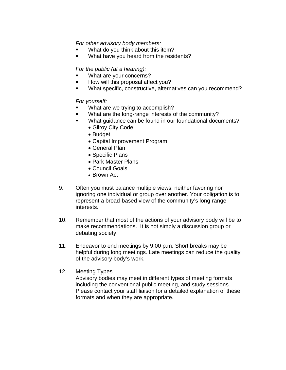*For other advisory body members:*

- What do you think about this item?
- **What have you heard from the residents?**

*For the public (at a hearing):*

- What are your concerns?
- How will this proposal affect you?
- What specific, constructive, alternatives can you recommend?

*For yourself:*

- What are we trying to accomplish?
- **What are the long-range interests of the community?**
- What guidance can be found in our foundational documents?
	- Gilroy City Code
	- Budget
	- Capital Improvement Program
	- General Plan
	- Specific Plans
	- Park Master Plans
	- Council Goals
	- Brown Act
- 9. Often you must balance multiple views, neither favoring nor ignoring one individual or group over another. Your obligation is to represent a broad-based view of the community's long-range interests.
- 10. Remember that most of the actions of your advisory body will be to make recommendations. It is not simply a discussion group or debating society.
- 11. Endeavor to end meetings by 9:00 p.m. Short breaks may be helpful during long meetings. Late meetings can reduce the quality of the advisory body's work.
- 12. Meeting Types

Advisory bodies may meet in different types of meeting formats including the conventional public meeting, and study sessions. Please contact your staff liaison for a detailed explanation of these formats and when they are appropriate.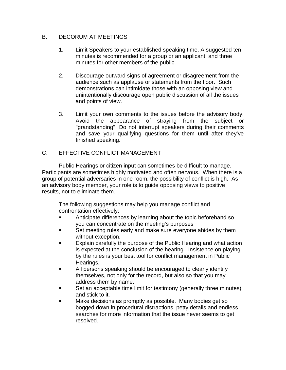#### B. DECORUM AT MEETINGS

- 1. Limit Speakers to your established speaking time. A suggested ten minutes is recommended for a group or an applicant, and three minutes for other members of the public.
- 2. Discourage outward signs of agreement or disagreement from the audience such as applause or statements from the floor. Such demonstrations can intimidate those with an opposing view and unintentionally discourage open public discussion of all the issues and points of view.
- 3. Limit your own comments to the issues before the advisory body. Avoid the appearance of straying from the subject or "grandstanding". Do not interrupt speakers during their comments and save your qualifying questions for them until after they've finished speaking.

#### C. EFFECTIVE CONFLICT MANAGEMENT

Public Hearings or citizen input can sometimes be difficult to manage. Participants are sometimes highly motivated and often nervous. When there is a group of potential adversaries in one room, the possibility of conflict is high. As an advisory body member, your role is to guide opposing views to positive results, not to eliminate them.

The following suggestions may help you manage conflict and confrontation effectively:

- Anticipate differences by learning about the topic beforehand so you can concentrate on the meeting's purposes
- Set meeting rules early and make sure everyone abides by them without exception.
- Explain carefully the purpose of the Public Hearing and what action is expected at the conclusion of the hearing. Insistence on playing by the rules is your best tool for conflict management in Public Hearings.
- All persons speaking should be encouraged to clearly identify themselves, not only for the record, but also so that you may address them by name.
- Set an acceptable time limit for testimony (generally three minutes) and stick to it.
- Make decisions as promptly as possible. Many bodies get so bogged down in procedural distractions, petty details and endless searches for more information that the issue never seems to get resolved.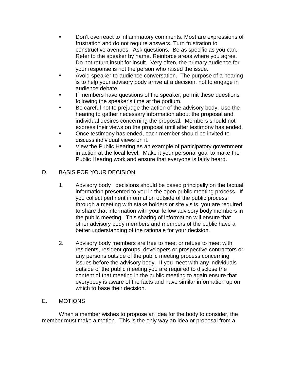- Don't overreact to inflammatory comments. Most are expressions of frustration and do not require answers. Turn frustration to constructive avenues. Ask questions. Be as specific as you can. Refer to the speaker by name. Reinforce areas where you agree. Do not return insult for insult. Very often, the primary audience for your response is not the person who raised the issue.
- Avoid speaker-to-audience conversation. The purpose of a hearing is to help your advisory body arrive at a decision, not to engage in audience debate.
- If members have questions of the speaker, permit these questions following the speaker's time at the podium.
- Be careful not to prejudge the action of the advisory body. Use the hearing to gather necessary information about the proposal and individual desires concerning the proposal. Members should not express their views on the proposal until after testimony has ended.
- Once testimony has ended, each member should be invited to discuss individual views on it.
- View the Public Hearing as an example of participatory government in action at the local level. Make it your personal goal to make the Public Hearing work and ensure that everyone is fairly heard.

#### D. BASIS FOR YOUR DECISION

- 1. Advisory body decisions should be based principally on the factual information presented to you in the open public meeting process. If you collect pertinent information outside of the public process through a meeting with stake holders or site visits, you are required to share that information with your fellow advisory body members in the public meeting. This sharing of information will ensure that other advisory body members and members of the public have a better understanding of the rationale for your decision.
- 2. Advisory body members are free to meet or refuse to meet with residents, resident groups, developers or prospective contractors or any persons outside of the public meeting process concerning issues before the advisory body. If you meet with any individuals outside of the public meeting you are required to disclose the content of that meeting in the public meeting to again ensure that everybody is aware of the facts and have similar information up on which to base their decision.

#### E. MOTIONS

When a member wishes to propose an idea for the body to consider, the member must make a motion. This is the only way an idea or proposal from a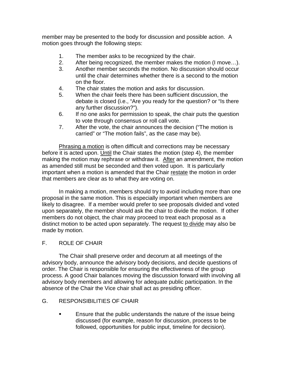member may be presented to the body for discussion and possible action. A motion goes through the following steps:

- 1. The member asks to be recognized by the chair.
- 2. After being recognized, the member makes the motion (I move…).
- 3. Another member seconds the motion. No discussion should occur until the chair determines whether there is a second to the motion on the floor.
- 4. The chair states the motion and asks for discussion.
- 5. When the chair feels there has been sufficient discussion, the debate is closed (i.e., "Are you ready for the question? or "Is there any further discussion?").
- 6. If no one asks for permission to speak, the chair puts the question to vote through consensus or roll call vote.
- 7. After the vote, the chair announces the decision ("The motion is carried" or "The motion fails", as the case may be).

Phrasing a motion is often difficult and corrections may be necessary before it is acted upon. Until the Chair states the motion (step 4), the member making the motion may rephrase or withdraw it. After an amendment, the motion as amended still must be seconded and then voted upon. It is particularly important when a motion is amended that the Chair restate the motion in order that members are clear as to what they are voting on.

In making a motion, members should try to avoid including more than one proposal in the same motion. This is especially important when members are likely to disagree. If a member would prefer to see proposals divided and voted upon separately, the member should ask the chair to divide the motion. If other members do not object, the chair may proceed to treat each proposal as a distinct motion to be acted upon separately. The request to divide may also be made by motion.

#### F. ROLE OF CHAIR

The Chair shall preserve order and decorum at all meetings of the advisory body, announce the advisory body decisions, and decide questions of order. The Chair is responsible for ensuring the effectiveness of the group process. A good Chair balances moving the discussion forward with involving all advisory body members and allowing for adequate public participation. In the absence of the Chair the Vice chair shall act as presiding officer.

#### G. RESPONSIBILITIES OF CHAIR

**Ensure that the public understands the nature of the issue being** discussed (for example, reason for discussion, process to be followed, opportunities for public input, timeline for decision).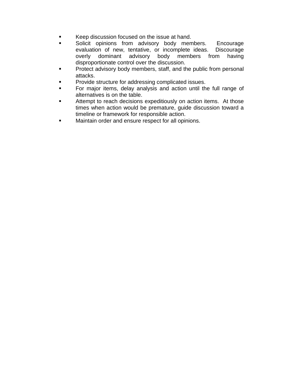- Keep discussion focused on the issue at hand.
- Solicit opinions from advisory body members. Encourage evaluation of new, tentative, or incomplete ideas. Discourage overly dominant advisory body members from having disproportionate control over the discussion.
- Protect advisory body members, staff, and the public from personal attacks.
- Provide structure for addressing complicated issues.
- For major items, delay analysis and action until the full range of alternatives is on the table.
- Attempt to reach decisions expeditiously on action items. At those times when action would be premature, guide discussion toward a timeline or framework for responsible action.
- Maintain order and ensure respect for all opinions.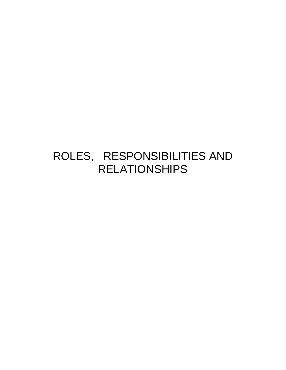### ROLES, RESPONSIBILITIES AND RELATIONSHIPS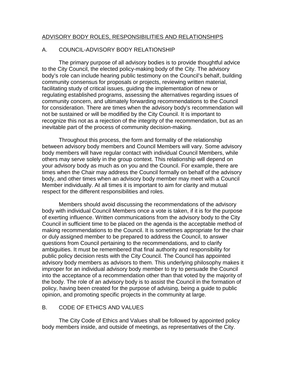#### ADVISORY BODY ROLES, RESPONSIBILITIES AND RELATIONSHIPS

#### A. COUNCIL-ADVISORY BODY RELATIONSHIP

The primary purpose of all advisory bodies is to provide thoughtful advice to the City Council, the elected policy-making body of the City. The advisory body's role can include hearing public testimony on the Council's behalf, building community consensus for proposals or projects, reviewing written material, facilitating study of critical issues, guiding the implementation of new or regulating established programs, assessing the alternatives regarding issues of community concern, and ultimately forwarding recommendations to the Council for consideration. There are times when the advisory body's recommendation will not be sustained or will be modified by the City Council. It is important to recognize this not as a rejection of the integrity of the recommendation, but as an inevitable part of the process of community decision-making.

Throughout this process, the form and formality of the relationship between advisory body members and Council Members will vary. Some advisory body members will have regular contact with individual Council Members, while others may serve solely in the group context. This relationship will depend on your advisory body as much as on you and the Council. For example, there are times when the Chair may address the Council formally on behalf of the advisory body, and other times when an advisory body member may meet with a Council Member individually. At all times it is important to aim for clarity and mutual respect for the different responsibilities and roles.

Members should avoid discussing the recommendations of the advisory body with individual Council Members once a vote is taken, if it is for the purpose of exerting influence. Written communications from the advisory body to the City Council in sufficient time to be placed on the agenda is the acceptable method of making recommendations to the Council. It is sometimes appropriate for the chair or duly assigned member to be prepared to address the Council, to answer questions from Council pertaining to the recommendations, and to clarify ambiguities. It must be remembered that final authority and responsibility for public policy decision rests with the City Council. The Council has appointed advisory body members as advisors to them. This underlying philosophy makes it improper for an individual advisory body member to try to persuade the Council into the acceptance of a recommendation other than that voted by the majority of the body. The role of an advisory body is to assist the Council in the formation of policy, having been created for the purpose of advising, being a guide to public opinion, and promoting specific projects in the community at large.

#### B. CODE OF ETHICS AND VALUES

The City Code of Ethics and Values shall be followed by appointed policy body members inside, and outside of meetings, as representatives of the City.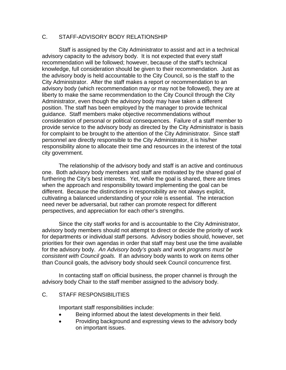#### C. STAFF-ADVISORY BODY RELATIONSHIP

Staff is assigned by the City Administrator to assist and act in a technical advisory capacity to the advisory body. It is not expected that every staff recommendation will be followed; however, because of the staff's technical knowledge, full consideration should be given to their recommendation. Just as the advisory body is held accountable to the City Council, so is the staff to the City Administrator. After the staff makes a report or recommendation to an advisory body (which recommendation may or may not be followed), they are at liberty to make the same recommendation to the City Council through the City Administrator, even though the advisory body may have taken a different position. The staff has been employed by the manager to provide technical guidance. Staff members make objective recommendations without consideration of personal or political consequences. Failure of a staff member to provide service to the advisory body as directed by the City Administrator is basis for complaint to be brought to the attention of the City Administrator. Since staff personnel are directly responsible to the City Administrator, it is his/her responsibility alone to allocate their time and resources in the interest of the total city government.

The relationship of the advisory body and staff is an active and continuous one. Both advisory body members and staff are motivated by the shared goal of furthering the City's best interests. Yet, while the goal is shared, there are times when the approach and responsibility toward implementing the goal can be different. Because the distinctions in responsibility are not always explicit, cultivating a balanced understanding of your role is essential. The interaction need never be adversarial, but rather can promote respect for different perspectives, and appreciation for each other's strengths.

Since the city staff works for and is accountable to the City Administrator, advisory body members should not attempt to direct or decide the priority of work for departments or individual staff persons. Advisory bodies should, however, set priorities for their own agendas in order that staff may best use the time available for the advisory body. *An Advisory body's goals and work programs must be consistent with Council goals.* If an advisory body wants to work on items other than Council goals, the advisory body should seek Council concurrence first.

In contacting staff on official business, the proper channel is through the advisory body Chair to the staff member assigned to the advisory body.

#### C. STAFF RESPONSIBILITIES

Important staff responsibilities include:

- Being informed about the latest developments in their field.
- Providing background and expressing views to the advisory body on important issues.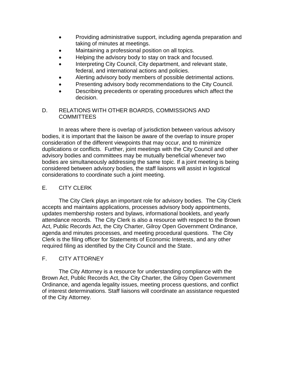- Providing administrative support, including agenda preparation and taking of minutes at meetings.
- Maintaining a professional position on all topics.
- Helping the advisory body to stay on track and focused.
- Interpreting City Council, City department, and relevant state, federal, and international actions and policies.
- Alerting advisory body members of possible detrimental actions.
- Presenting advisory body recommendations to the City Council.
- Describing precedents or operating procedures which affect the decision.

#### D. RELATIONS WITH OTHER BOARDS, COMMISSIONS AND COMMITTEES

In areas where there is overlap of jurisdiction between various advisory bodies, it is important that the liaison be aware of the overlap to insure proper consideration of the different viewpoints that may occur, and to minimize duplications or conflicts. Further, joint meetings with the City Council and other advisory bodies and committees may be mutually beneficial whenever two bodies are simultaneously addressing the same topic. If a joint meeting is being considered between advisory bodies, the staff liaisons will assist in logistical considerations to coordinate such a joint meeting.

#### E. CITY CLERK

The City Clerk plays an important role for advisory bodies. The City Clerk accepts and maintains applications, processes advisory body appointments, updates membership rosters and bylaws, informational booklets, and yearly attendance records. The City Clerk is also a resource with respect to the Brown Act, Public Records Act, the City Charter, Gilroy Open Government Ordinance, agenda and minutes processes, and meeting procedural questions. The City Clerk is the filing officer for Statements of Economic Interests, and any other required filing as identified by the City Council and the State.

#### F. CITY ATTORNEY

The City Attorney is a resource for understanding compliance with the Brown Act, Public Records Act, the City Charter, the Gilroy Open Government Ordinance, and agenda legality issues, meeting process questions, and conflict of interest determinations. Staff liaisons will coordinate an assistance requested of the City Attorney.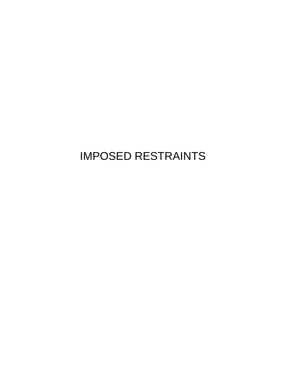### IMPOSED RESTRAINTS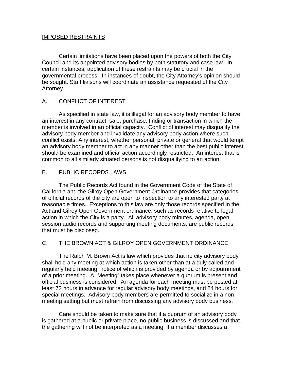#### IMPOSED RESTRAINTS

Certain limitations have been placed upon the powers of both the City Council and its appointed advisory bodies by both statutory and case law. In certain instances, application of these restraints may be crucial in the governmental process. In instances of doubt, the City Attorney's opinion should be sought. Staff liaisons will coordinate an assistance requested of the City Attorney.

#### A. CONFLICT OF INTEREST

As specified in state law, it is illegal for an advisory body member to have an interest in any contract, sale, purchase, finding or transaction in which the member is involved in an official capacity. Conflict of interest may disqualify the advisory body member and invalidate any advisory body action where such conflict exists. Any interest, whether personal, private or general that would tempt an advisory body member to act in any manner other than the best public interest should be examined and official action accordingly restricted. An interest that is common to all similarly situated persons is not disqualifying to an action.

#### B. PUBLIC RECORDS LAWS

The Public Records Act found in the Government Code of the State of California and the Gilroy Open Government Ordinance provides that categories of official records of the city are open to inspection to any interested party at reasonable times. Exceptions to this law are only those records specified in the Act and Gilroy Open Government ordinance, such as records relative to legal action in which the City is a party. All advisory body minutes, agenda, open session audio records and supporting meeting documents, are public records that must be disclosed.

#### C. THE BROWN ACT & GILROY OPEN GOVERNMENT ORDINANCE

The Ralph M. Brown Act is law which provides that no city advisory body shall hold any meeting at which action is taken other than at a duly called and regularly held meeting, notice of which is provided by agenda or by adjournment of a prior meeting. A "Meeting" takes place whenever a quorum is present and official business is considered. An agenda for each meeting must be posted at least 72 hours in advance for regular advisory body meetings, and 24 hours for special meetings. Advisory body members are permitted to socialize in a nonmeeting setting but must refrain from discussing any advisory body business.

Care should be taken to make sure that if a quorum of an advisory body is gathered at a public or private place, no public business is discussed and that the gathering will not be interpreted as a meeting. If a member discusses a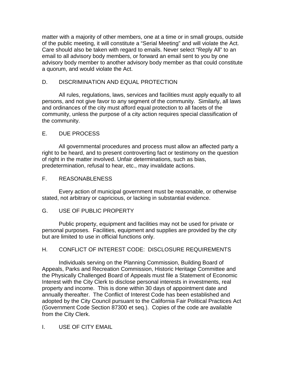matter with a majority of other members, one at a time or in small groups, outside of the public meeting, it will constitute a "Serial Meeting" and will violate the Act. Care should also be taken with regard to emails. Never select "Reply All" to an email to all advisory body members, or forward an email sent to you by one advisory body member to another advisory body member as that could constitute a quorum, and would violate the Act.

#### D. DISCRIMINATION AND EQUAL PROTECTION

All rules, regulations, laws, services and facilities must apply equally to all persons, and not give favor to any segment of the community. Similarly, all laws and ordinances of the city must afford equal protection to all facets of the community, unless the purpose of a city action requires special classification of the community.

#### E. DUE PROCESS

All governmental procedures and process must allow an affected party a right to be heard, and to present controverting fact or testimony on the question of right in the matter involved. Unfair determinations, such as bias, predetermination, refusal to hear, etc., may invalidate actions.

#### F. REASONABLENESS

Every action of municipal government must be reasonable, or otherwise stated, not arbitrary or capricious, or lacking in substantial evidence.

#### G. USE OF PUBLIC PROPERTY

Public property, equipment and facilities may not be used for private or personal purposes. Facilities, equipment and supplies are provided by the city but are limited to use in official functions only.

#### H. CONFLICT OF INTEREST CODE: DISCLOSURE REQUIREMENTS

Individuals serving on the Planning Commission, Building Board of Appeals, Parks and Recreation Commission, Historic Heritage Committee and the Physically Challenged Board of Appeals must file a Statement of Economic Interest with the City Clerk to disclose personal interests in investments, real property and income. This is done within 30 days of appointment date and annually thereafter. The Conflict of Interest Code has been established and adopted by the City Council pursuant to the California Fair Political Practices Act (Government Code Section 87300 et seq.). Copies of the code are available from the City Clerk.

#### I. USE OF CITY EMAIL